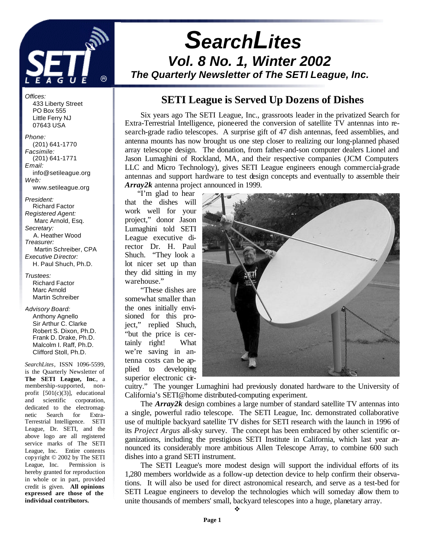

# *SearchLites Vol. 8 No. 1, Winter 2002 The Quarterly Newsletter of The SETI League, Inc.*

## **SETI League is Served Up Dozens of Dishes**

Six years ago The SETI League, Inc., grassroots leader in the privatized Search for Extra-Terrestrial Intelligence, pioneered the conversion of satellite TV antennas into research-grade radio telescopes. A surprise gift of 47 dish antennas, feed assemblies, and antenna mounts has now brought us one step closer to realizing our long-planned phased array telescope design. The donation, from father-and-son computer dealers Lionel and Jason Lumaghini of Rockland, MA, and their respective companies (JCM Computers LLC and Micro Technology), gives SETI League engineers enough commercial-grade antennas and support hardware to test design concepts and eventually to assemble their *Array2k* antenna project announced in 1999.

"I'm glad to hear that the dishes will work well for your project," donor Jason Lumaghini told SETI League executive director Dr. H. Paul Shuch. "They look a lot nicer set up than they did sitting in my warehouse."

"These dishes are somewhat smaller than the ones initially envisioned for this project," replied Shuch, "but the price is certainly right! What we're saving in antenna costs can be applied to developing superior electronic cir-



cuitry." The younger Lumaghini had previously donated hardware to the University of California's SETI@home distributed-computing experiment.

The *Array2k* design combines a large number of standard satellite TV antennas into a single, powerful radio telescope. The SETI League, Inc. demonstrated collaborative use of multiple backyard satellite TV dishes for SETI research with the launch in 1996 of its *Project Argus* all-sky survey. The concept has been embraced by other scientific organizations, including the prestigious SETI Institute in California, which last year announced its considerably more ambitious Allen Telescope Array, to combine 600 such dishes into a grand SETI instrument.

The SETI League's more modest design will support the individual efforts of its 1,280 members worldwide as a follow-up detection device to help confirm their observations. It will also be used for direct astronomical research, and serve as a test-bed for SETI League engineers to develop the technologies which will someday allow them to unite thousands of members' small, backyard telescopes into a huge, planetary array.

#### PO Box 555 Little Ferry NJ 07643 USA *Phone:* (201) 641-1770 *Facsimile:*

433 Liberty Street

*Offices:*

 (201) 641-1771 *Email:* info@setileague.org *Web:* www.setileague.org

*President:* Richard Factor *Registered Agent:*  Marc Arnold, Esq. *Secretary:* A. Heather Wood *Treasurer:*  Martin Schreiber, CPA *Executive Director:* H. Paul Shuch, Ph.D.

#### *Trustees:* Richard Factor Marc Arnold Martin Schreiber

*Advisory Board:* Anthony Agnello Sir Arthur C. Clarke Robert S. Dixon, Ph.D. Frank D. Drake, Ph.D. Malcolm I. Raff, Ph.D. Clifford Stoll, Ph.D.

*SearchLites*, ISSN 1096-5599, is the Quarterly Newsletter of **The SETI League, Inc**., a membership-supported, nonprofit [501(c)(3)], educational and scientific corporation, dedicated to the electromagnetic Search for Extra-Terrestrial Intelligence. SETI League, Dr. SETI, and the above logo are all registered service marks of The SETI League, Inc. Entire contents copyright © 2002 by The SETI League, Inc. Permission is hereby granted for reproduction in whole or in part, provided credit is given. **All opinions expressed are those of the individual contributors.**

v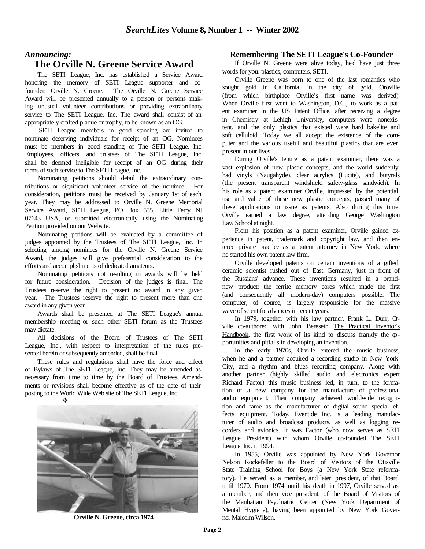#### *Announcing:*

#### **The Orville N. Greene Service Award**

The SETI League, Inc. has established a Service Award honoring the memory of SETI League supporter and cofounder, Orville N. Greene. The Orville N. Greene Service Award will be presented annually to a person or persons making unusual volunteer contributions or providing extraordinary service to The SETI League, Inc. The award shall consist of an appropriately crafted plaque or trophy, to be known as an OG.

.SETI League members in good standing are invited to nominate deserving individuals for receipt of an OG. Nominees must be members in good standing of The SETI League, Inc. Employees, officers, and trustees of The SETI League, Inc. shall be deemed ineligible for receipt of an OG during their terms of such service to The SETI League, Inc.

Nominating petitions should detail the extraordinary contributions or significant volunteer service of the nominee. For consideration, petitions must be received by January 1st of each year. They may be addressed to Orville N. Greene Memorial Service Award, SETI League, PO Box 555, Little Ferry NJ 07643 USA, or submitted electronically using the Nominating Petition provided on our Website.

Nominating petitions will be evaluated by a committee of judges appointed by the Trustees of The SETI League, Inc. In selecting among nominees for the Orville N. Greene Service Award, the judges will give preferential consideration to the efforts and accomplishments of dedicated amateurs.

Nominating petitions not resulting in awards will be held for future consideration. Decision of the judges is final. The Trustees reserve the right to present no award in any given year. The Trustees reserve the right to present more than one award in any given year.

Awards shall be presented at The SETI League's annual membership meeting or such other SETI forum as the Trustees may dictate.

All decisions of the Board of Trustees of The SETI League, Inc., with respect to interpretation of the rules presented herein or subsequently amended, shall be final.

These rules and regulations shall have the force and effect of Bylaws of The SETI League, Inc. They may be amended as necessary from time to time by the Board of Trustees. Amendments or revisions shall become effective as of the date of their posting to the World Wide Web site of The SETI League, Inc.

v



**Orville N. Greene, circa 1974**

#### **Remembering The SETI League's Co-Founder**

If Orville N. Greene were alive today, he'd have just three words for you: plastics, computers, SETI.

Orville Greene was born to one of the last romantics who sought gold in California, in the city of gold, Oroville (from which birthplace Orville's first name was derived). When Orville first went to Washington, D.C., to work as a patent examiner in the US Patent Office, after receiving a degree in Chemistry at Lehigh University, computers were nonexistent, and the only plastics that existed were hard bakelite and soft celluloid. Today we all accept the existence of the computer and the various useful and beautiful plastics that are ever present in our lives.

During Orville's tenure as a patent examiner, there was a vast explosion of new plastic concepts, and the world suddenly had vinyls (Naugahyde), clear acrylics (Lucite), and butyrals (the present transparent windshield safety-glass sandwich). In his role as a patent examiner Orville, impressed by the potential use and value of these new plastic concepts, passed many of these applications to issue as patents. Also during this time, Orville earned a law degree, attending George Washington Law School at night.

From his position as a patent examiner, Orville gained experience in patent, trademark and copyright law, and then entered private practice as a patent attorney in New York, where he started his own patent law firm.

Orville developed patents on certain inventions of a gifted, ceramic scientist rushed out of East Germany, just in front of the Russians' advance. These inventions resulted in a brandnew product: the ferrite memory cores which made the first (and consequently all modern-day) computers possible. The computer, of course, is largely responsible for the massive wave of scientific advances in recent years.

In 1979, together with his law partner, Frank L. Durr, Qville co-authored with John Bereseth The Practical Inventor's Handbook, the first work of its kind to discuss frankly the  $\varphi$ portunities and pitfalls in developing an invention.

In the early 1970s, Orville entered the music business, when he and a partner acquired a recording studio in New York City, and a rhythm and blues recording company. Along with another partner (highly skilled audio and electronics expert Richard Factor) this music business led, in turn, to the formation of a new company for the manufacture of professional audio equipment. Their company achieved worldwide recognition and fame as the manufacturer of digital sound special effects equipment. Today, Eventide Inc. is a leading manufacturer of audio and broadcast products, as well as logging recorders and avionics. It was Factor (who now serves as SETI League President) with whom Orville co-founded The SETI League, Inc. in 1994.

In 1955, Orville was appointed by New York Governor Nelson Rockefeller to the Board of Visitors of the Otisville State Training School for Boys (a New York State reformatory). He served as a member, and later president, of that Board until 1970. From 1974 until his death in 1997, Orville served as a member, and then vice president, of the Board of Visitors of the Manhattan Psychiatric Center (New York Department of Mental Hygiene), having been appointed by New York Governor Malcolm Wilson.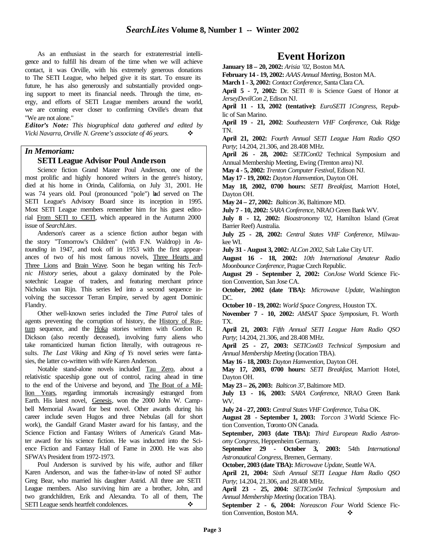As an enthusiast in the search for extraterrestrial intelligence and to fulfill his dream of the time when we will achieve contact, it was Orville, with his extremely generous donations to The SETI League, who helped give it its start. To ensure its future, he has also generously and substantially provided ongoing support to meet its financial needs. Through the time, energy, and efforts of SETI League members around the world, we are coming ever closer to confirming Orville's dream that "We are not alone."

*Editor's Note: This biographical data gathered and edited by Vicki Navarra, Orville N. Greene's associate of 46 years.* v

#### *In Memoriam:*

#### **SETI League Advisor Poul Anderson**

Science fiction Grand Master Poul Anderson, one of the most prolific and highly honored writers in the genre's history, died at his home in Orinda, California, on July 31, 2001. He was 74 years old. Poul (pronounced "pole") had served on The SETI League's Advisory Board since its inception in 1995. Most SETI League members remember him for his guest editorial From SETI to CETI, which appeared in the Autumn 2000 issue of *SearchLites*.

Anderson's career as a science fiction author began with the story "Tomorrow's Children" (with F.N. Waldrop) in *Astounding* in 1947, and took off in 1953 with the first appearances of two of his most famous novels, Three Hearts and Three Lions and Brain Wave. Soon he began writing his *Technic History* series, about a galaxy dominated by the Polesotechnic League of traders, and featuring merchant prince Nicholas van Rijn. This series led into a second sequence involving the successor Terran Empire, served by agent Dominic Flandry.

Other well-known series included the *Time Patrol* tales of agents preventing the corruption of history, the History of Rustum sequence, and the Hoka stories written with Gordon R. Dickson (also recently deceased), involving furry aliens who take romanticized human fiction literally, with outrageous results. *The Last Viking* and *King of Ys* novel series were fantasies, the latter co-written with wife Karen Anderson.

Notable stand-alone novels included Tau Zero, about a relativistic spaceship gone out of control, racing ahead in time to the end of the Universe and beyond, and The Boat of a Million Years, regarding immortals increasingly estranged from Earth. His latest novel, Genesis, won the 2000 John W. Campbell Memorial Award for best novel. Other awards during his career include seven Hugos and three Nebulas (all for short work), the Gandalf Grand Master award for his fantasy, and the Science Fiction and Fantasy Writers of America's Grand Master award for his science fiction. He was inducted into the Science Fiction and Fantasy Hall of Fame in 2000. He was also SFWA's President from 1972-1973.

Poul Anderson is survived by his wife, author and filker Karen Anderson, and was the father-in-law of noted SF author Greg Bear, who married his daughter Astrid. All three are SETI League members. Also surviving him are a brother, John, and two grandchildren, Erik and Alexandra. To all of them, The SETI League sends heartfelt condolences. ↓

## **Event Horizon**

**January 18 – 20, 2002:** *Arisia '02*, Boston MA.

**February 14 - 19, 2002:** *AAAS Annual Meeting*, Boston MA.

**March 1 - 3, 2002:** *Contact Conference*, Santa Clara CA.

**April 5 - 7, 2002:** Dr. SETI ® is Science Guest of Honor at *JerseyDevilCon 2*, Edison NJ.

**April 11 - 13, 2002 (tentative):** *EuroSETI 1Congress*, Republic of San Marino.

**April 19 - 21, 2002**: *Southeastern VHF Conference*, Oak Ridge TN.

**April 21, 2002:** *Fourth Annual SETI League Ham Radio QSO Party*; 14.204, 21.306, and 28.408 MHz.

**April 26 - 28, 2002:** *SETICon02* Technical Symposium and Annual Membership Meeting, Ewing (Trenton area) NJ.

**May 4 - 5, 2002:** *Trenton Computer Festival*, Edison NJ.

**May 17 - 19, 2002:** *Dayton Hamvention*, Dayton OH.

**May 18, 2002, 0700 hours:** *SETI Breakfast*, Marriott Hotel, Dayton OH.

**May 24 – 27, 2002:** *Balticon 36*, Baltimore MD.

**July 7 - 10, 2002:** *SARA Conference*, NRAO Green Bank WV.

**July 8 - 12, 2002:** *Bioastronomy '02*, Hamilton Island (Great Barrier Reef) Australia.

**July 25 - 28, 2002:** *Central States VHF Conference*, Milwaukee WI.

**July 31 - August 3, 2002:** *ALCon 2002*, Salt Lake City UT.

**August 16 - 18, 2002:** *10th International Amateur Radio Moonbounce Conference*, Prague Czech Republic.

**August 29 - September 2, 2002:** *ConJose* World Science Fiction Convention, San Jose CA.

**October, 2002 (date TBA):** *Microwave Update*, Washington DC.

**October 10 - 19, 2002:** *World Space Congress*, Houston TX.

**November 7 - 10, 2002:** *AMSAT Space Symposium*, Ft. Worth TX.

**April 21, 2003:** *Fifth Annual SETI League Ham Radio QSO Party*; 14.204, 21.306, and 28.408 MHz.

**April 25 - 27, 2003:** *SETICon03 Technical Symposium* and *Annual Membership Meeting* (location TBA).

**May 16 - 18, 2003:** *Dayton Hamvention*, Dayton OH.

**May 17, 2003, 0700 hours:** *SETI Breakfast*, Marriott Hotel, Dayton OH.

**May 23 – 26, 2003:** *Balticon 37*, Baltimore MD.

**July 13 - 16, 2003:** *SARA Conference*, NRAO Green Bank WV.

**July 24 - 27, 2003:** *Central States VHF Conference*, Tulsa OK.

**August 28 - September 1, 2003:** *Torcon 3* World Science Fiction Convention, Toronto ON Canada.

**September, 2003 (date TBA):** *Third European Radio Astronomy Congress*, Heppenheim Germany.

**September 29 - October 3, 2003:** 54th *International Astronautical Congress*, Bremen, Germany.

**October, 2003 (date TBA):** *Microwave Update*, Seattle WA.

**April 21, 2004:** *Sixth Annual SETI League Ham Radio QSO Party*; 14.204, 21.306, and 28.408 MHz.

**April 23 - 25, 2004:** *SETICon04 Technical Symposium* and *Annual Membership Meeting* (location TBA).

**September 2 - 6, 2004:** *Noreascon Four* World Science Fiction Convention, Boston MA.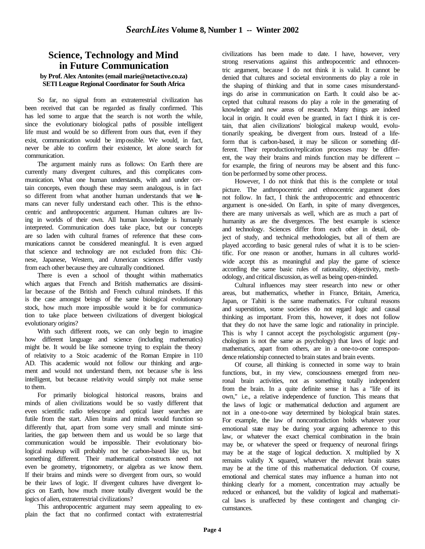#### **Science, Technology and Mind in Future Communication**

#### **by Prof. Alex Antonites (email marie@netactive.co.za) SETI League Regional Coordinator for South Africa**

So far, no signal from an extraterrestrial civilization has been received that can be regarded as finally confirmed. This has led some to argue that the search is not worth the while, since the evolutionary biological paths of possible intelligent life must and would be so different from ours that, even if they exist, communication would be impossible. We would, in fact, never be able to confirm their existence, let alone search for communication.

The argument mainly runs as follows: On Earth there are currently many divergent cultures, and this complicates communication. What one human understands, with and under certain concepts, even though these may seem analogous, is in fact so different from what another human understands that we humans can never fully understand each other. This is the ethnocentric and anthropocentric argument. Human cultures are living in worlds of their own. All human knowledge is humanly interpreted. Communication does take place, but our concepts are so laden with cultural frames of reference that these communications cannot be considered meaningful. It is even argued that science and technology are not excluded from this: Chinese, Japanese, Western, and American sciences differ vastly from each other because they are culturally conditioned.

There is even a school of thought within mathematics which argues that French and British mathematics are dissimilar because of the British and French cultural mindsets. If this is the case amongst beings of the same biological evolutionary stock, how much more impossible would it be for communication to take place between civilizations of divergent biological evolutionary origins?

With such different roots, we can only begin to imagine how different language and science (including mathematics) might be. It would be like someone trying to explain the theory of relativity to a Stoic academic of the Roman Empire in 110 AD. This academic would not follow our thinking and argument and would not understand them, not because s/he is less intelligent, but because relativity would simply not make sense to them.

For primarily biological historical reasons, brains and minds of alien civilizations would be so vastly different that even scientific radio telescope and optical laser searches are futile from the start. Alien brains and minds would function so differently that, apart from some very small and minute similarities, the gap between them and us would be so large that communication would be impossible. Their evolutionary biological makeup will probably not be carbon-based like us, but something different. Their mathematical constructs need not even be geometry, trigonometry, or algebra as we know them. If their brains and minds were so divergent from ours, so would be their laws of logic. If divergent cultures have divergent logics on Earth, how much more totally divergent would be the logics of alien, extraterrestrial civilizations?

This anthropocentric argument may seem appealing to explain the fact that no confirmed contact with extraterrestrial civilizations has been made to date. I have, however, very strong reservations against this anthropocentric and ethnocentric argument, because I do not think it is valid. It cannot be denied that cultures and societal environments do play a role in the shaping of thinking and that in some cases misunderstandings do arise in communication on Earth. It could also be accepted that cultural reasons do play a role in the generating of knowledge and new areas of research. Many things are indeed local in origin. It could even be granted, in fact I think it is certain, that alien civilizations' biological makeup would, evolutionarily speaking, be divergent from ours. Instead of a lifeform that is carbon-based, it may be silicon or something different. Their reproduction/replication processes may be different, the way their brains and minds function may be different - for example, the firing of neurons may be absent and this function be performed by some other process.

However, I do not think that this is the complete or total picture. The anthropocentric and ethnocentric argument does not follow. In fact, I think the anthropocentric and ethnocentric argument is one-sided. On Earth, in spite of many divergences, there are many universals as well, which are as much a part of humanity as are the divergences. The best example is science and technology. Sciences differ from each other in detail, object of study, and technical methodologies, but all of them are played according to basic general rules of what it is to be scientific. For one reason or another, humans in all cultures worldwide accept this as meaningful and play the game of science according the same basic rules of rationality, objectivity, methodology, and critical discussion, as well as being open-minded.

Cultural influences may steer research into new or other areas, but mathematics, whether in France, Britain, America, Japan, or Tahiti is the same mathematics. For cultural reasons and superstition, some societies do not regard logic and causal thinking as important. From this, however, it does not follow that they do not have the same logic and rationality in principle. This is why I cannot accept the psychologistic argument (psychologism is not the same as psychology) that laws of logic and mathematics, apart from others, are in a one-to-one correspondence relationship connected to brain states and brain events.

Of course, all thinking is connected in some way to brain functions, but, in my view, consciousness emerged from neuronal brain activities, not as something totally independent from the brain. In a quite definite sense it has a "life of its own," i.e., a relative independence of function. This means that the laws of logic or mathematical deduction and argument are not in a one-to-one way determined by biological brain states. For example, the law of noncontradiction holds whatever your emotional state may be during your arguing adherence to this law, or whatever the exact chemical combination in the brain may be, or whatever the speed or frequency of neuronal firings may be at the stage of logical deduction. X multiplied by X remains validly X squared, whatever the relevant brain states may be at the time of this mathematical deduction. Of course, emotional and chemical states may influence a human into not thinking clearly for a moment, concentration may actually be reduced or enhanced, but the validity of logical and mathematical laws is unaffected by these contingent and changing circumstances.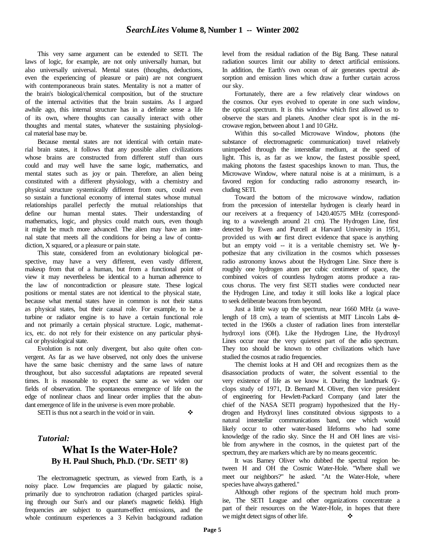This very same argument can be extended to SETI. The laws of logic, for example, are not only universally human, but also universally universal. Mental states (thoughts, deductions, even the experiencing of pleasure or pain) are not congruent with contemporaneous brain states. Mentality is not a matter of the brain's biological/chemical composition, but of the structure of the internal activities that the brain sustains. As I argued awhile ago, this internal structure has in a definite sense a life of its own, where thoughts can causally interact with other thoughts and mental states, whatever the sustaining physiological material base may be.

Because mental states are not identical with certain material brain states, it follows that any possible alien civilizations whose brains are constructed from different stuff than ours could and may well have the same logic, mathematics, and mental states such as joy or pain. Therefore, an alien being constituted with a different physiology, with a chemistry and physical structure systemically different from ours, could even so sustain a functional economy of internal states whose mutual relationships parallel perfectly the mutual relationships that define our human mental states. Their understanding of mathematics, logic, and physics could match ours, even though it might be much more advanced. The alien may have an internal state that meets all the conditions for being a law of contradiction, X squared, or a pleasure or pain state.

This state, considered from an evolutionary biological perspective, may have a very different, even vastly different, makeup from that of a human, but from a functional point of view it may nevertheless be identical to a human adherence to the law of noncontradiction or pleasure state. These logical positions or mental states are not identical to the physical state, because what mental states have in common is not their status as physical states, but their causal role. For example, to be a turbine or radiator engine is to have a certain functional role and not primarily a certain physical structure. Logic, mathematics, etc. do not rely for their existence on any particular physical or physiological state.

Evolution is not only divergent, but also quite often convergent. As far as we have observed, not only does the universe have the same basic chemistry and the same laws of nature throughout, but also successful adaptations are repeated several times. It is reasonable to expect the same as we widen our fields of observation. The spontaneous emergence of life on the edge of nonlinear chaos and linear order implies that the abundant emergence of life in the universe is even more probable.

SETI is thus not a search in the void or in vain.  $\bullet$ 

*Tutorial:*

## **What Is the Water-Hole? By H. Paul Shuch, Ph.D. ('Dr. SETI' ®)**

The electromagnetic spectrum, as viewed from Earth, is a noisy place. Low frequencies are plagued by galactic noise, primarily due to synchrotron radiation (charged particles spiraling through our Sun's and our planet's magnetic fields). High frequencies are subject to quantum-effect emissions, and the whole continuum experiences a 3 Kelvin background radiation

level from the residual radiation of the Big Bang. These natural radiation sources limit our ability to detect artificial emissions. In addition, the Earth's own ocean of air generates spectral absorption and emission lines which draw a further curtain across our sky.

Fortunately, there are a few relatively clear windows on the cosmos. Our eyes evolved to operate in one such window, the optical spectrum. It is this window which first allowed us to observe the stars and planets. Another clear spot is in the microwave region, between about 1 and 10 GHz.

Within this so-called Microwave Window, photons (the substance of electromagnetic communication) travel relatively unimpeded through the interstellar medium, at the speed of light. This is, as far as we know, the fastest possible speed, making photons the fastest spaceships known to man. Thus, the Microwave Window, where natural noise is at a minimum, is a favored region for conducting radio astronomy research, including SETI.

Toward the bottom of the microwave window, radiation from the precession of interstellar hydrogen is clearly heard in our receivers at a frequency of 1420.40575 MHz (corresponding to a wavelength around 21 cm). The Hydrogen Line, first detected by Ewen and Purcell at Harvard University in 1951, provided us with our first direct evidence that space is anything but an empty void -- it is a veritable chemistry set. We hypothesize that any civilization in the cosmos which possesses radio astronomy knows about the Hydrogen Line. Since there is roughly one hydrogen atom per cubic centimeter of space, the combined voices of countless hydrogen atoms produce a raucous chorus. The very first SETI studies were conducted near the Hydrogen Line, and today it still looks like a logical place to seek deliberate beacons from beyond.

Just a little way up the spectrum, near 1660 MHz (a wavelength of 18 cm), a team of scientists at MIT Lincoln Labs detected in the 1960s a cluster of radiation lines from interstellar hydroxyl ions (OH). Like the Hydrogen Line, the Hydroxyl Lines occur near the very quietest part of the radio spectrum. They too should be known to other civilizations which have studied the cosmos at radio frequencies.

The chemist looks at H and OH and recognizes them as the disassociation products of water, the solvent essential to the very existence of life as we know it. During the landmark Cyclops study of 1971, Dr. Bernard M. Oliver, then vice president of engineering for Hewlett-Packard Company (and later the chief of the NASA SETI program) hypothesized that the Hydrogen and Hydroxyl lines constituted obvious signposts to a natural interstellar communications band, one which would likely occur to other water-based lifeforms who had some knowledge of the radio sky. Since the H and OH lines are visible from anywhere in the cosmos, in the quietest part of the spectrum, they are markers which are by no means geocentric.

It was Barney Oliver who dubbed the spectral region between H and OH the Cosmic Water-Hole. "Where shall we meet our neighbors?" he asked. "At the Water-Hole, where species have always gathered."

Although other regions of the spectrum hold much promise, The SETI League and other organizations concentrate a part of their resources on the Water-Hole, in hopes that there we might detect signs of other life.  $\bullet$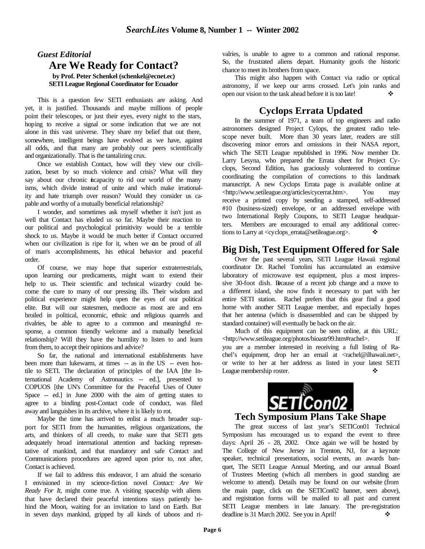#### *Guest Editorial* **Are We Ready for Contact? by Prof. Peter Schenkel (schenkel@ecnet.ec) SETI League Regional Coordinator for Ecuador**

This is a question few SETI enthusiasts are asking. And yet, it is justified. Thousands and maybe millions of people point their telescopes, or just their eyes, every night to the stars, hoping to receive a signal or some indication that we are not alone in this vast universe. They share my belief that out there, somewhere, intelligent beings have evolved as we have, against all odds, and that many are probably our peers scientifically and organizationally. That is the tantalizing crux.

Once we establish Contact, how will they view our civilization, beset by so much violence and crisis? What will they say about our chronic incapacity to rid our world of the many isms, which divide instead of unite and which make irrationality and hate triumph over reason? Would they consider us capable and worthy of a mutually beneficial relationship?

I wonder, and sometimes ask myself whether it isn't just as well that Contact has eluded us so far. Maybe their reaction to our political and psychological primitivity would be a terrible shock to us. Maybe it would be much better if Contact occurred when our civilization is ripe for it, when we can be proud of all of man's accomplishments, his ethical behavior and peaceful order.

Of course, we may hope that superior extraterrestrials, upon learning our predicaments, might want to extend their help to us. Their scientific and technical wizardry could become the cure to many of our pressing ills. Their wisdom and political experience might help open the eyes of our political elite. But will our statesmen, mediocre as most are and embroiled in political, economic, ethnic and religious quarrels and rivalries, be able to agree to a common and meaningful response, a common friendly welcome and a mutually beneficial relationship? Will they have the humility to listen to and learn from them, to accept their opinions and advice?

So far, the national and international establishments have been more than lukewarm, at times -- as in the US -- even hostile to SETI. The declaration of principles of the IAA [the International Academy of Astronautics -- ed.], presented to COPUOS [the UN's Committee for the Peaceful Uses of Outer Space -- ed.] in June 2000 with the aim of getting states to agree to a binding post-Contact code of conduct, was filed away and languishes in its archive, where it is likely to rot.

Maybe the time has arrived to enlist a much broader support for SETI from the humanities, religious organizations, the arts, and thinkers of all creeds, to make sure that SETI gets adequately broad international attention and backing representative of mankind, and that mandatory and safe Contact and Communications procedures are agreed upon prior to, not after, Contact is achieved.

If we fail to address this endeavor, I am afraid the scenario I envisioned in my science-fiction novel *Contact: Are We Ready For It*, might come true. A visiting spaceship with aliens that have declared their peaceful intentions stays patiently behind the Moon, waiting for an invitation to land on Earth. But in seven days mankind, gripped by all kinds of taboos and rivalries, is unable to agree to a common and rational response. So, the frustrated aliens depart. Humanity goofs the historic chance to meet its brothers from space.

This might also happen with Contact via radio or optical astronomy, if we keep our arms crossed. Let's join ranks and open our vision to the task ahead before it is too late!

## **Cyclops Errata Updated**

In the summer of 1971, a team of top engineers and radio astronomers designed Project Cylops, the greatest radio telescope never built. More than 30 years later, readers are still discovering minor errors and omissions in their NASA report, which The SETI League republished in 1996. Now member Dr. Larry Lesyna, who prepared the Errata sheet for Project Cyclops, Second Edition, has graciously volunteered to continue coordinating the compilation of corrections to this landmark manuscript. A new Cyclops Errata page is available online at <http://www.setileague.org/articles/cycerrat.htm>. You may receive a printed copy by sending a stamped, self-addressed #10 (business-sized) envelope, or an addressed envelope with two International Reply Coupons, to SETI League headquarters. Members are encouraged to email any additional corrections to Larry at <cyclops\_errata@setileague.org>.  $\bullet \bullet$ 

### **Big Dish, Test Equipment Offered for Sale**

Over the past several years, SETI League Hawaii regional coordinator Dr. Rachel Tortolini has accumulated an extensive laboratory of microwave test equipment, plus a most impressive 30-foot dish. Because of a recent job change and a move to a different island, she now finds it necessary to part with her entire SETI station. Rachel prefers that this gear find a good home with another SETI League member, and especially hopes that her antenna (which is disassembled and can be shipped by standard container) will eventually be back on the air.

Much of this equipment can be seen online, at this URL: <http://www.setileague.org/photos/bioastr99.htm#rachel>. If you are a member interested in receiving a full listing of Rachel's equipment, drop her an email at <rachel@ilhawaii.net>, or write to her at her address as listed in your latest SETI League membership roster.



The great success of last year's SETICon01 Technical Symposium has encouraged us to expand the event to three days: April 26 - 28, 2002. Once again we will be hosted by The College of New Jersey in Trenton, NJ, for a keynote speaker, technical presentations, social events, an awards banquet, The SETI League Annual Meeting, and our annual Board of Trustees Meeting (which all members in good standing are welcome to attend). Details may be found on our website (from the main page, click on the SETICon02 banner, seen above), and registration forms will be mailed to all past and current SETI League members in late January. The pre-registration deadline is 31 March 2002. See you in April!  $\bullet$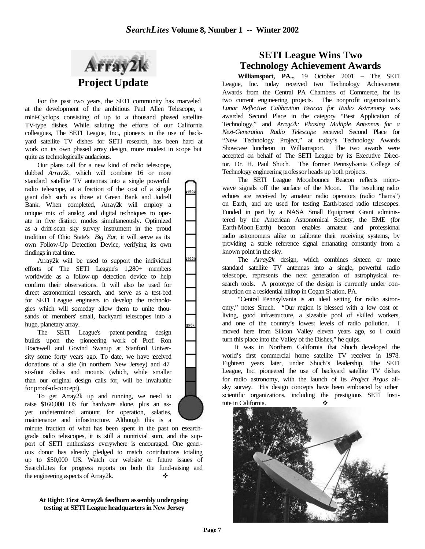1001



For the past two years, the SETI community has marveled at the development of the ambitious Paul Allen Telescope, a mini-Cyclops consisting of up to a thousand phased satellite TV-type dishes. While saluting the efforts of our California colleagues, The SETI League, Inc., pioneers in the use of backyard satellite TV dishes for SETI research, has been hard at work on its own phased array design, more modest in scope but quite as technologically audacious.

Our plans call for a new kind of radio telescope, dubbed *Array2k*, which will combine 16 or more standard satellite TV antennas into a single powerful radio telescope, at a fraction of the cost of a single giant dish such as those at Green Bank and Jodrell Bank. When completed, Array2k will employ a unique mix of analog and digital techniques to operate in five distinct modes simultaneously. Optimized as a drift-scan sky survey instrument in the proud tradition of Ohio State's *Big Ear*, it will serve as its own Follow-Up Detection Device, verifying its own findings in real time.

Array2k will be used to support the individual efforts of The SETI League's 1,280+ members worldwide as a follow-up detection device to help confirm their observations. It will also be used for direct astronomical research, and serve as a test-bed for SETI League engineers to develop the technologies which will someday allow them to unite thousands of members' small, backyard telescopes into a huge, planetary array.

The SETI League's patent-pending design builds upon the pioneering work of Prof. Ron Bracewell and Govind Swarup at Stanford University some forty years ago. To date, we have received donations of a site (in northern New Jersey) and 47 six-foot dishes and mounts (which, while smaller than our original design calls for, will be invaluable for proof-of-concept).

To get Array2k up and running, we need to raise \$160,000 US for hardware alone, plus an asyet undetermined amount for operation, salaries, maintenance and infrastructure. Although this is a

minute fraction of what has been spent in the past on researchgrade radio telescopes, it is still a nontrivial sum, and the support of SETI enthusiasts everywhere is encouraged. One generous donor has already pledged to match contributions totaling up to \$50,000 US. Watch our website or future issues of SearchLites for progress reports on both the fund-raising and the engineering aspects of Array2k.

#### **At Right: First Array2k feedhorn assembly undergoing testing at SETI League headquarters in New Jersey**

## **SETI League Wins Two Technology Achievement Awards**

**Williamsport, PA..,** 19 October 2001 – The SETI League, Inc. today received two Technology Achievement Awards from the Central PA Chambers of Commerce, for its two current engineering projects. The nonprofit organization's *Lunar Reflective Calibration Beacon for Radio Astronomy* was awarded Second Place in the category "Best Application of Technology," and *Array2k: Phasing Multiple Antennas for a Next-Generation Radio Telescope* received Second Place for "New Technology Project," at today's Technology Awards Showcase luncheon in Williamsport. The two awards were accepted on behalf of The SETI League by its Executive Director, Dr. H. Paul Shuch. The former Pennsylvania College of Technology engineering professor heads up both projects.

The SETI League Moonbounce Beacon reflects microwave signals off the surface of the Moon. The resulting radio echoes are received by amateur radio operators (radio "hams") on Earth, and are used for testing Earth-based radio telescopes. Funded in part by a NASA Small Equipment Grant administered by the American Astronomical Society, the EME (for Earth-Moon-Earth) beacon enables amateur and professional radio astronomers alike to calibrate their receiving systems, by providing a stable reference signal emanating constantly from a known point in the sky.

The *Array2k* design, which combines sixteen or more standard satellite TV antennas into a single, powerful radio telescope, represents the next generation of astrophysical research tools. A prototype of the design is currently under construction on a residential hilltop in Cogan St ation, PA.

"Central Pennsylvania is an ideal setting for radio astronomy," notes Shuch. "Our region is blessed with a low cost of living, good infrastructure, a sizeable pool of skilled workers, and one of the country's lowest levels of radio pollution. I moved here from Silicon Valley eleven years ago, so I could turn this place into the Valley of the Dishes," he quips.

It was in Northern California that Shuch developed the world's first commercial home satellite TV receiver in 1978. Eighteen years later, under Shuch's leadership, The SETI League, Inc. pioneered the use of backyard satellite TV dishes for radio astronomy, with the launch of its *Project Argus* allsky survey. His design concepts have been embraced by other scientific organizations, including the prestigious SETI Institute in California. ❖